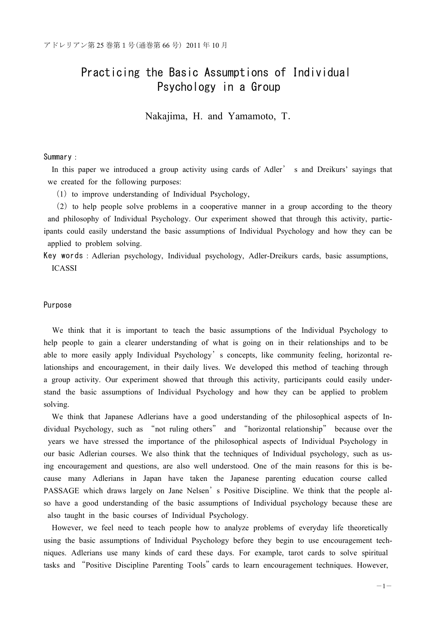# Practicing the Basic Assumptions of Individual Psychology in a Group

Nakajima, H. and Yamamoto, T.

## Summary :

In this paper we introduced a group activity using cards of Adler' s and Dreikurs' sayings that we created for the following purposes:

 $(1)$  to improve understanding of Individual Psychology,

㸦2㸧to help people solve problems in a cooperative manner in a group according to the theory and philosophy of Individual Psychology. Our experiment showed that through this activity, participants could easily understand the basic assumptions of Individual Psychology and how they can be applied to problem solving.

Key words : Adlerian psychology, Individual psychology, Adler-Dreikurs cards, basic assumptions, ICASSI

## Purpose

We think that it is important to teach the basic assumptions of the Individual Psychology to help people to gain a clearer understanding of what is going on in their relationships and to be able to more easily apply Individual Psychology's concepts, like community feeling, horizontal relationships and encouragement, in their daily lives. We developed this method of teaching through a group activity. Our experiment showed that through this activity, participants could easily understand the basic assumptions of Individual Psychology and how they can be applied to problem solving.

We think that Japanese Adlerians have a good understanding of the philosophical aspects of Individual Psychology, such as "not ruling others" and "horizontal relationship" because over the years we have stressed the importance of the philosophical aspects of Individual Psychology in our basic Adlerian courses. We also think that the techniques of Individual psychology, such as using encouragement and questions, are also well understood. One of the main reasons for this is because many Adlerians in Japan have taken the Japanese parenting education course called PASSAGE which draws largely on Jane Nelsen's Positive Discipline. We think that the people also have a good understanding of the basic assumptions of Individual psychology because these are also taught in the basic courses of Individual Psychology.

However, we feel need to teach people how to analyze problems of everyday life theoretically using the basic assumptions of Individual Psychology before they begin to use encouragement techniques. Adlerians use many kinds of card these days. For example, tarot cards to solve spiritual tasks and "Positive Discipline Parenting Tools" cards to learn encouragement techniques. However,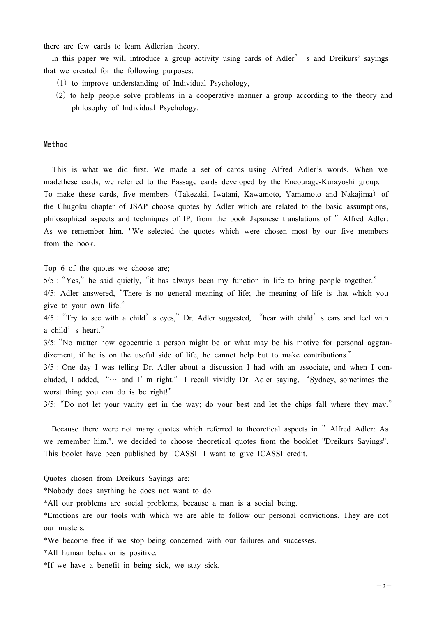there are few cards to learn Adlerian theory.

In this paper we will introduce a group activity using cards of Adler' s and Dreikurs' sayings that we created for the following purposes:

- $(1)$  to improve understanding of Individual Psychology,
- (2) to help people solve problems in a cooperative manner a group according to the theory and philosophy of Individual Psychology.

## Method

This is what we did first. We made a set of cards using Alfred Adler's words. When we madethese cards, we referred to the Passage cards developed by the Encourage-Kurayoshi group. To make these cards, five members (Takezaki, Iwatani, Kawamoto, Yamamoto and Nakajima) of the Chugoku chapter of JSAP choose quotes by Adler which are related to the basic assumptions, philosophical aspects and techniques of IP, from the book Japanese translations of "Alfred Adler: As we remember him. "We selected the quotes which were chosen most by our five members from the book.

Top 6 of the quotes we choose are;

 $5/5$ : "Yes," he said quietly, "it has always been my function in life to bring people together."

4/5: Adler answered,"There is no general meaning of life; the meaning of life is that which you give to your own life."

4/5 : "Try to see with a child' s eyes," Dr. Adler suggested, "hear with child' s ears and feel with a child's heart."

3/5:"No matter how egocentric a person might be or what may be his motive for personal aggrandizement, if he is on the useful side of life, he cannot help but to make contributions."

 $3/5$ : One day I was telling Dr. Adler about a discussion I had with an associate, and when I concluded, I added, "… and I'm right." I recall vividly Dr. Adler saying, "Sydney, sometimes the worst thing you can do is be right!"

3/5:"Do not let your vanity get in the way; do your best and let the chips fall where they may."

Because there were not many quotes which referred to theoretical aspects in "Alfred Adler: As we remember him.", we decided to choose theoretical quotes from the booklet "Dreikurs Sayings". This boolet have been published by ICASSI. I want to give ICASSI credit.

Quotes chosen from Dreikurs Sayings are;

\*Nobody does anything he does not want to do.

\*All our problems are social problems, because a man is a social being.

\*Emotions are our tools with which we are able to follow our personal convictions. They are not our masters.

\*We become free if we stop being concerned with our failures and successes.

\*All human behavior is positive.

\*If we have a benefit in being sick, we stay sick.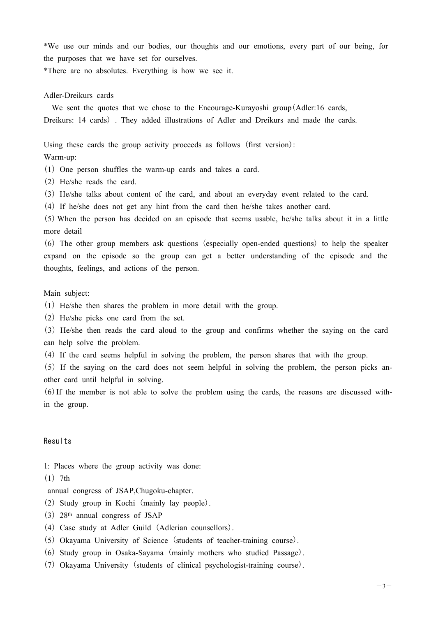\*We use our minds and our bodies, our thoughts and our emotions, every part of our being, for the purposes that we have set for ourselves.

\*There are no absolutes. Everything is how we see it.

# Adler-Dreikurs cards

We sent the quotes that we chose to the Encourage-Kurayoshi group (Adler:16 cards, Dreikurs: 14 cards) . They added illustrations of Adler and Dreikurs and made the cards.

Using these cards the group activity proceeds as follows (first version):

# Warm-up:

 $(1)$  One person shuffles the warm-up cards and takes a card.

- (2) He/she reads the card.
- 㸦3㸧He/she talks about content of the card, and about an everyday event related to the card.
- 㸦4㸧If he/she does not get any hint from the card then he/she takes another card.

㸦5㸧When the person has decided on an episode that seems usable, he/she talks about it in a little more detail

㸦6㸧The other group members ask questions (especially open-ended questions) to help the speaker expand on the episode so the group can get a better understanding of the episode and the thoughts, feelings, and actions of the person.

# Main subject:

 $(1)$  He/she then shares the problem in more detail with the group.

(2) He/she picks one card from the set.

㸦3㸧He/she then reads the card aloud to the group and confirms whether the saying on the card can help solve the problem.

㸦4㸧If the card seems helpful in solving the problem, the person shares that with the group.

 $(5)$  If the saying on the card does not seem helpful in solving the problem, the person picks another card until helpful in solving.

 $(6)$  If the member is not able to solve the problem using the cards, the reasons are discussed within the group.

# Results

1: Places where the group activity was done:

 $(1)$  7th

annual congress of JSAP,Chugoku-chapter.

- 㸦2㸧Study group in Kochi (mainly lay people).
- (3) 28<sup>th</sup> annual congress of JSAP
- (4) Case study at Adler Guild (Adlerian counsellors).
- 㸦5㸧Okayama University of Science (students of teacher-training course).
- 㸦6㸧Study group in Osaka-Sayama (mainly mothers who studied Passage).
- 㸦7㸧Okayama University (students of clinical psychologist-training course).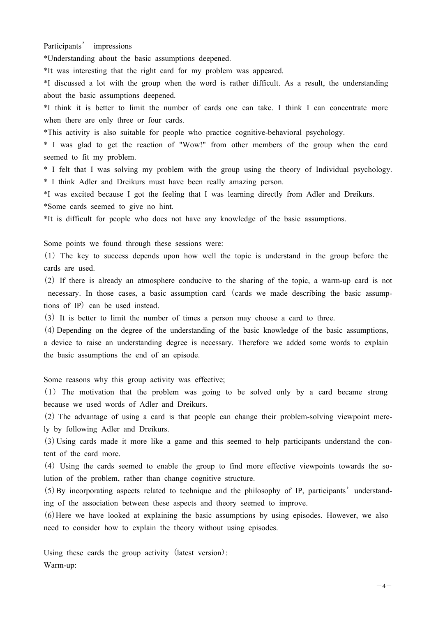Participants' impressions

\*Understanding about the basic assumptions deepened.

\*It was interesting that the right card for my problem was appeared.

\*I discussed a lot with the group when the word is rather difficult. As a result, the understanding about the basic assumptions deepened.

\*I think it is better to limit the number of cards one can take. I think I can concentrate more when there are only three or four cards.

\*This activity is also suitable for people who practice cognitive-behavioral psychology.

\* I was glad to get the reaction of "Wow!" from other members of the group when the card seemed to fit my problem.

\* I felt that I was solving my problem with the group using the theory of Individual psychology. \* I think Adler and Dreikurs must have been really amazing person.

\*I was excited because I got the feeling that I was learning directly from Adler and Dreikurs. \*Some cards seemed to give no hint.

\*It is difficult for people who does not have any knowledge of the basic assumptions.

Some points we found through these sessions were:

㸦1㸧The key to success depends upon how well the topic is understand in the group before the cards are used.

㸦2㸧If there is already an atmosphere conducive to the sharing of the topic, a warm-up card is not necessary. In those cases, a basic assumption card (cards we made describing the basic assumptions of IP) can be used instead.

㸦3㸧It is better to limit the number of times a person may choose a card to three.

㸦4㸧Depending on the degree of the understanding of the basic knowledge of the basic assumptions, a device to raise an understanding degree is necessary. Therefore we added some words to explain the basic assumptions the end of an episode.

Some reasons why this group activity was effective;

㸦1㸧The motivation that the problem was going to be solved only by a card became strong because we used words of Adler and Dreikurs.

㸦2㸧The advantage of using a card is that people can change their problem-solving viewpoint merely by following Adler and Dreikurs.

㸦3㸧Using cards made it more like a game and this seemed to help participants understand the content of the card more.

(4) Using the cards seemed to enable the group to find more effective viewpoints towards the solution of the problem, rather than change cognitive structure.

㸦5㸧By incorporating aspects related to technique and the philosophy of IP, participants'understanding of the association between these aspects and theory seemed to improve.

㸦6㸧Here we have looked at explaining the basic assumptions by using episodes. However, we also need to consider how to explain the theory without using episodes.

Using these cards the group activity (latest version): Warm-up: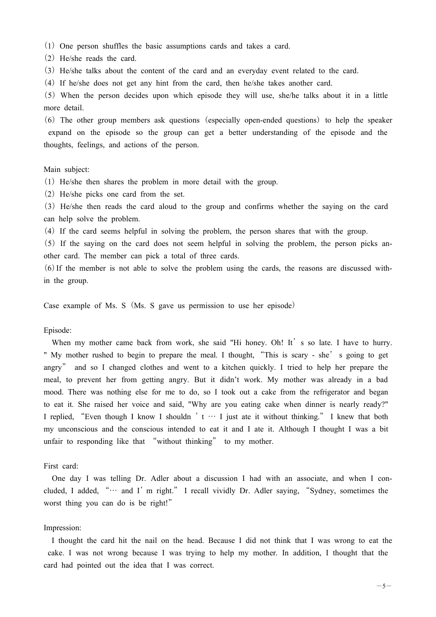(1) One person shuffles the basic assumptions cards and takes a card.

(2) He/she reads the card.

(3) He/she talks about the content of the card and an everyday event related to the card.

㸦4㸧If he/she does not get any hint from the card, then he/she takes another card.

㸦5㸧When the person decides upon which episode they will use, she/he talks about it in a little more detail.

 $(6)$  The other group members ask questions (especially open-ended questions) to help the speaker expand on the episode so the group can get a better understanding of the episode and the thoughts, feelings, and actions of the person.

#### Main subject:

(1) He/she then shares the problem in more detail with the group.

(2) He/she picks one card from the set.

(3) He/she then reads the card aloud to the group and confirms whether the saying on the card can help solve the problem.

(4) If the card seems helpful in solving the problem, the person shares that with the group.

 $(5)$  If the saying on the card does not seem helpful in solving the problem, the person picks another card. The member can pick a total of three cards.

 $(6)$  If the member is not able to solve the problem using the cards, the reasons are discussed within the group.

Case example of Ms. S (Ms. S gave us permission to use her episode)

#### Episode:

When my mother came back from work, she said "Hi honey. Oh! It' s so late. I have to hurry. " My mother rushed to begin to prepare the meal. I thought, "This is scary - she' s going to get angry" and so I changed clothes and went to a kitchen quickly. I tried to help her prepare the meal, to prevent her from getting angry. But it didn't work. My mother was already in a bad mood. There was nothing else for me to do, so I took out a cake from the refrigerator and began to eat it. She raised her voice and said, "Why are you eating cake when dinner is nearly ready?" I replied, "Even though I know I shouldn 't  $\cdots$  I just ate it without thinking." I knew that both my unconscious and the conscious intended to eat it and I ate it. Although I thought I was a bit unfair to responding like that "without thinking" to my mother.

#### First card:

One day I was telling Dr. Adler about a discussion I had with an associate, and when I concluded, I added, " $\cdots$  and I'm right." I recall vividly Dr. Adler saying, "Sydney, sometimes the worst thing you can do is be right!"

#### Impression:

I thought the card hit the nail on the head. Because I did not think that I was wrong to eat the cake. I was not wrong because I was trying to help my mother. In addition, I thought that the card had pointed out the idea that I was correct.